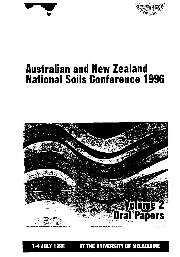



# **Australian and New Zealand National Soils Conference 1996**



**1-4 JULY 1996 AT THE UNIVERSITY OF MELBOURNE**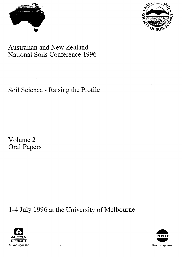



# Australian and New Zealand National Soils Conference 1996

Soil Science - Raising the Profile

Volume 2 **Oral Papers** 

1-4 July 1996 at the University of Melbourne



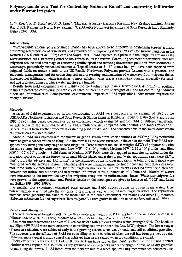## **Polyacrylamide as a Tool for Controlling Sediment Runoff and Improving Infiltration under Furrow Irrigation.**

*C. W. Ross', R. E. SofkaB and R. D. Lent?* AManaaki Whenua - Landcare Research New Zealand Limited, Private Bag 11052, Palmerston North, New Zealand. <sup>B</sup>USDA-ARS Northwest Irrigation and Soils Research Lab., Kimberly, Idaho 83341, USA.

#### **Introduction**

Water-soluble anionic polyacrylamide (PAM) has been shown to be effective in controlling topsoil erosion, preventing sedimentation of waterways, and simultaneously improving infiltration rates for furrow irrigation in the western USA (Lentz *et al.* 1992; Lentz and Sojka 1994). PAM injected as a pulse into the irrigation stream as the water advances *has a* stabilizing effect on the surface soil in the furrow. Controlling sediment runoff under intensive irrigation has the dual advantage of conserving fertile topsoil and reducing downstream pollution from sediments in waterways, particularly suspended sediments. Topsoil losses of  $5 - 50$  tonnes ha<sup>-1</sup> yr<sup>-1</sup> have been reported from irrigated fields on erodible soils in the US Pacific Northwest. Polymers provide farmers with a practical and economic management tool for conserving soil and preventing sedimentation of waterways from irrigated fields. Increased net infiltration, which translates to more efficient water use, is a secondary benefit, especially for semiarid and arid environments where water supplies are limited.

Results from field experiments on a highly erodible Portneuf silt loam (Durixerollic Calciorthid) in southern Idaho are presented comparing the efficacy of three different molecular weights of PAM for controlling sediment runoff and infiltration rates. Some potential environmental impacts of PAM applications under furrow irrigation are briefly discussed.

#### **Methods**

A series of field experiments on furrow conditioning by PAM were conducted in the summer of 1995 on the USDA-ARS Northwest Irrigation and Soils Research Station farms at Kimberly, southern Idaho (Lentz and Sojka 1995, 1996). This paper concentrates on an experiment which evaluated anionic PAM of different molecular weights but with the same charge density and, simultaneously, compared both solution and solid applications. General results from another experiment examining plant uptake and PAM concentrations in the water downstream of application are also presented.

Anionic PAM was injected into the furrow irrigation stream from stock solutions of 2400mg  $L^{-1}$  by peristaltic pump to give a concentration of  $10mg L<sup>-1</sup>$  in the furrow as the water advanced to the end of the field. Thus PAM was applied only during the early stage of each irrigation. Three different molecular weights (MW) of polymer but with the same charge density were compared: Low MW 4-7 x 10<sup>6</sup> g mole<sup>-1</sup>, Medium MW 12-15 x 10<sup>6</sup> g mole<sup>-1</sup> and High MW 14-17 x  $10^6$  g mole <sup>-1</sup>. Solid forms of Medium MW PAM were also applied as granules sprinkled under the irrigation spigot or down the furrow, or as small blocks placed under the spigot. Water application rates were 22.7 L  $min<sup>-1</sup>$  during the advance and 15.1 L min<sup>-1</sup> for the remainder of the 12-hour irrigations. A total of 6 irrigations were monitored over the growing season. Sediment yields were measured using the Imhoff cone method; flow rates were monitored with V-notch flumes designed for irrigation furrows; net infiltration was assessed from the difference between net inflow and outflow; and unsaturated infiltration rates (at potentials of -40mm and -100mm of water) were measured in the furrows the day after irrigation using tension infiltrometers. Beans *(Phaseolus vulgaris* L.) were grown on the experimental area. Further details on the techniques are given in Lentz *et al.* (1992) and Lentz and Sojka (1994,1995,1996).

A smaller plot experiment examined plant uptake and PAM concentrations in downstream water. Here polyacrylamide was tilled into the soil prior to planting, *as* well *as* injected into irrigation water. The application methods were generally the same as for those used in the other experiment but maize *(Zea mays* L.), potatoes *(Solarium tubero sum* L.) and sugar beet *(Beta vulgaris* L.) were grown in addition to beans (Barvenik *et al.* 1996).

### **Results and discussion**

The reduction in sediment runoff for the three molecular weights of PAM applied to the irrigation water is as follows: Low MW 50.9 - 91.5%; Medium MW 79.2 - 95.4%; High MW 71.1 - 95.9%.

Sediment runoff reductions of over 90% are consistent with previous studies which averaged 94%. The Medium and High MW PAM were more effective in controlling soil erosion than the Low MW polymer. The lower ranges of erosion reduction were achieved early in the growing season when wet climatic and soil conditions prevailed. This suggests that the efficacy of PAM for controlling erosion is reduced when the soil has been pre-wet by rain. However, more typical erosion control was achieved later in the season when dry conditions prevailed.

Field experiments by the USDA-ARS Kimberly team have shown that PAM is effective for erosion control whether it was applied as a solution, as dry granules or as dry blocks under the spigot inflow, or as dry granules spread along the furrow. PAM losses from the field are minimal when applied using recommended concentrations